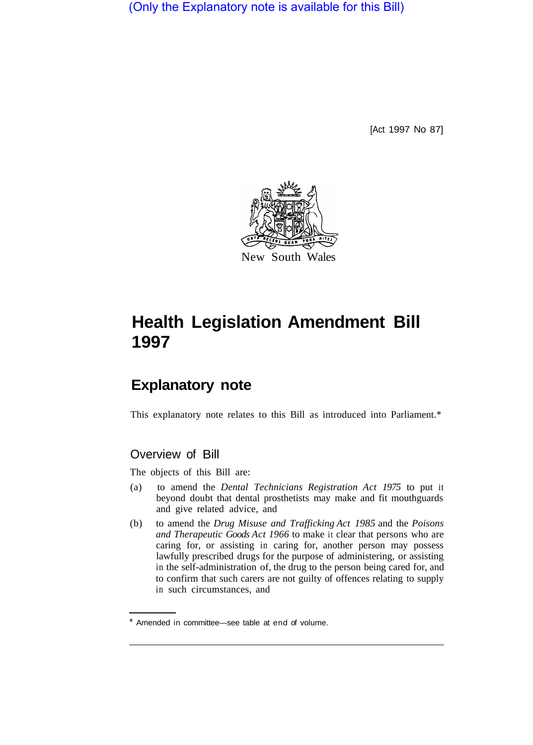(Only the Explanatory note is available for this Bill)

[Act 1997 No 87]



## **Health Legislation Amendment Bill 1997**

## **Explanatory note**

This explanatory note relates to this Bill as introduced into Parliament.\*

## Overview of Bill

The objects of this Bill are:

- (a) to amend the *Dental Technicians Registration Act 1975* to put it beyond doubt that dental prosthetists may make and fit mouthguards and give related advice, and
- (b) to amend the *Drug Misuse and Trafficking Act 1985* and the *Poisons and Therapeutic Goods Act 1966* to make it clear that persons who are caring for, or assisting in caring for, another person may possess lawfully prescribed drugs for the purpose of administering, or assisting in the self-administration of, the drug to the person being cared for, and to confirm that such carers are not guilty of offences relating to supply in such circumstances, and

Amended in committee—see table at end of volume.